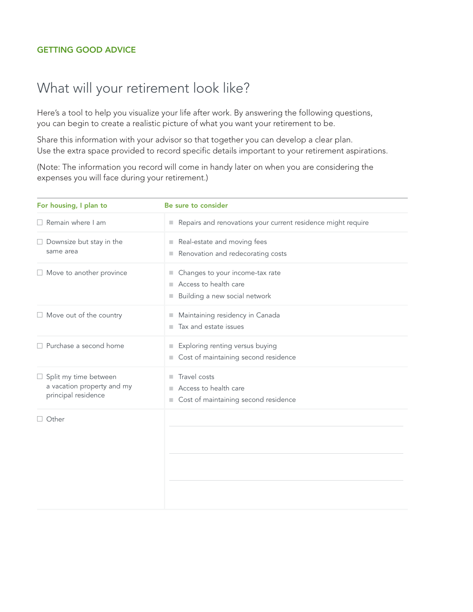## GETTING GOOD ADVICE

## What will your retirement look like?

Here's a tool to help you visualize your life after work. By answering the following questions, you can begin to create a realistic picture of what you want your retirement to be.

Share this information with your advisor so that together you can develop a clear plan. Use the extra space provided to record specific details important to your retirement aspirations.

(Note: The information you record will come in handy later on when you are considering the expenses you will face during your retirement.)

| For housing, I plan to                                                            | Be sure to consider                                                                            |
|-----------------------------------------------------------------------------------|------------------------------------------------------------------------------------------------|
| $\Box$ Remain where I am                                                          | Repairs and renovations your current residence might require                                   |
| $\Box$ Downsize but stay in the<br>same area                                      | Real-estate and moving fees<br>Renovation and redecorating costs<br>٠                          |
| $\Box$ Move to another province                                                   | Changes to your income-tax rate<br>ш<br>Access to health care<br>Building a new social network |
| $\Box$ Move out of the country                                                    | Maintaining residency in Canada<br>Tax and estate issues<br>٠                                  |
| $\Box$ Purchase a second home                                                     | Exploring renting versus buying<br>Cost of maintaining second residence                        |
| $\Box$ Split my time between<br>a vacation property and my<br>principal residence | Travel costs<br>ш<br>Access to health care<br>Cost of maintaining second residence<br>ш        |
| $\Box$ Other                                                                      |                                                                                                |